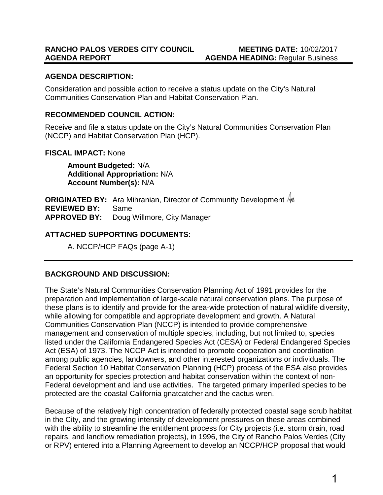# **AGENDA DESCRIPTION:**

Consideration and possible action to receive a status update on the City's Natural Communities Conservation Plan and Habitat Conservation Plan.

# **RECOMMENDED COUNCIL ACTION:**

Receive and file a status update on the City's Natural Communities Conservation Plan (NCCP) and Habitat Conservation Plan (HCP).

## **FISCAL IMPACT:** None

**Amount Budgeted:** N/A **Additional Appropriation:** N/A **Account Number(s):** N/A

**ORIGINATED BY:** Ara Mihranian, Director of Community Development  $\frac{A}{A}$ **REVIEWED BY:** Same **APPROVED BY:** Doug Willmore, City Manager

# **ATTACHED SUPPORTING DOCUMENTS:**

A. NCCP/HCP FAQs (page A-1)

# **BACKGROUND AND DISCUSSION:**

The State's Natural Communities Conservation Planning Act of 1991 provides for the preparation and implementation of large-scale natural conservation plans. The purpose of these plans is to identify and provide for the area-wide protection of natural wildlife diversity, while allowing for compatible and appropriate development and growth. A Natural Communities Conservation Plan (NCCP) is intended to provide comprehensive management and conservation of multiple species, including, but not limited to, species listed under the California Endangered Species Act (CESA) or Federal Endangered Species Act (ESA) of 1973. The NCCP Act is intended to promote cooperation and coordination among public agencies, landowners, and other interested organizations or individuals. The Federal Section 10 Habitat Conservation Planning (HCP) process of the ESA also provides an opportunity for species protection and habitat conservation within the context of non-Federal development and land use activities. The targeted primary imperiled species to be protected are the coastal California gnatcatcher and the cactus wren.

Because of the relatively high concentration of federally protected coastal sage scrub habitat in the City, and the growing intensity of development pressures on these areas combined with the ability to streamline the entitlement process for City projects (i.e. storm drain, road repairs, and landflow remediation projects), in 1996, the City of Rancho Palos Verdes (City or RPV) entered into a Planning Agreement to develop an NCCP/HCP proposal that would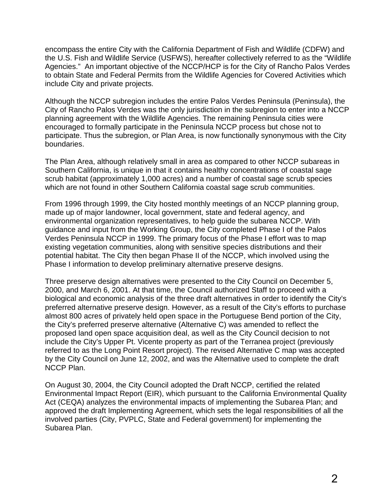encompass the entire City with the California Department of Fish and Wildlife (CDFW) and the U.S. Fish and Wildlife Service (USFWS), hereafter collectively referred to as the "Wildlife Agencies." An important objective of the NCCP/HCP is for the City of Rancho Palos Verdes to obtain State and Federal Permits from the Wildlife Agencies for Covered Activities which include City and private projects.

Although the NCCP subregion includes the entire Palos Verdes Peninsula (Peninsula), the City of Rancho Palos Verdes was the only jurisdiction in the subregion to enter into a NCCP planning agreement with the Wildlife Agencies. The remaining Peninsula cities were encouraged to formally participate in the Peninsula NCCP process but chose not to participate. Thus the subregion, or Plan Area, is now functionally synonymous with the City boundaries.

The Plan Area, although relatively small in area as compared to other NCCP subareas in Southern California, is unique in that it contains healthy concentrations of coastal sage scrub habitat (approximately 1,000 acres) and a number of coastal sage scrub species which are not found in other Southern California coastal sage scrub communities.

From 1996 through 1999, the City hosted monthly meetings of an NCCP planning group, made up of major landowner, local government, state and federal agency, and environmental organization representatives, to help guide the subarea NCCP. With guidance and input from the Working Group, the City completed Phase I of the Palos Verdes Peninsula NCCP in 1999. The primary focus of the Phase I effort was to map existing vegetation communities, along with sensitive species distributions and their potential habitat. The City then began Phase II of the NCCP, which involved using the Phase I information to develop preliminary alternative preserve designs.

Three preserve design alternatives were presented to the City Council on December 5, 2000, and March 6, 2001. At that time, the Council authorized Staff to proceed with a biological and economic analysis of the three draft alternatives in order to identify the City's preferred alternative preserve design. However, as a result of the City's efforts to purchase almost 800 acres of privately held open space in the Portuguese Bend portion of the City, the City's preferred preserve alternative (Alternative C) was amended to reflect the proposed land open space acquisition deal, as well as the City Council decision to not include the City's Upper Pt. Vicente property as part of the Terranea project (previously referred to as the Long Point Resort project). The revised Alternative C map was accepted by the City Council on June 12, 2002, and was the Alternative used to complete the draft NCCP Plan.

On August 30, 2004, the City Council adopted the Draft NCCP, certified the related Environmental Impact Report (EIR), which pursuant to the California Environmental Quality Act (CEQA) analyzes the environmental impacts of implementing the Subarea Plan; and approved the draft Implementing Agreement, which sets the legal responsibilities of all the involved parties (City, PVPLC, State and Federal government) for implementing the Subarea Plan.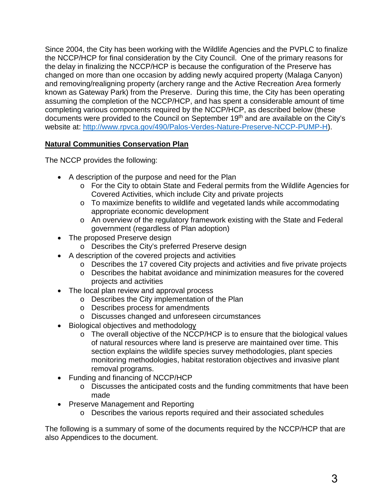Since 2004, the City has been working with the Wildlife Agencies and the PVPLC to finalize the NCCP/HCP for final consideration by the City Council. One of the primary reasons for the delay in finalizing the NCCP/HCP is because the configuration of the Preserve has changed on more than one occasion by adding newly acquired property (Malaga Canyon) and removing/realigning property (archery range and the Active Recreation Area formerly known as Gateway Park) from the Preserve. During this time, the City has been operating assuming the completion of the NCCP/HCP, and has spent a considerable amount of time completing various components required by the NCCP/HCP, as described below (these documents were provided to the Council on September 19th and are available on the City's website at: [http://www.rpvca.gov/490/Palos-Verdes-Nature-Preserve-NCCP-PUMP-H\)](http://www.rpvca.gov/490/Palos-Verdes-Nature-Preserve-NCCP-PUMP-H).

# **Natural Communities Conservation Plan**

The NCCP provides the following:

- A description of the purpose and need for the Plan
	- o For the City to obtain State and Federal permits from the Wildlife Agencies for Covered Activities, which include City and private projects
	- o To maximize benefits to wildlife and vegetated lands while accommodating appropriate economic development
	- o An overview of the regulatory framework existing with the State and Federal government (regardless of Plan adoption)
- The proposed Preserve design
	- o Describes the City's preferred Preserve design
- A description of the covered projects and activities
	- o Describes the 17 covered City projects and activities and five private projects
	- $\circ$  Describes the habitat avoidance and minimization measures for the covered projects and activities
- The local plan review and approval process
	- o Describes the City implementation of the Plan
	- o Describes process for amendments
	- o Discusses changed and unforeseen circumstances
- Biological objectives and methodology
	- $\circ$  The overall objective of the NCCP/HCP is to ensure that the biological values of natural resources where land is preserve are maintained over time. This section explains the wildlife species survey methodologies, plant species monitoring methodologies, habitat restoration objectives and invasive plant removal programs.
- Funding and financing of NCCP/HCP
	- o Discusses the anticipated costs and the funding commitments that have been made
- Preserve Management and Reporting
	- o Describes the various reports required and their associated schedules

The following is a summary of some of the documents required by the NCCP/HCP that are also Appendices to the document.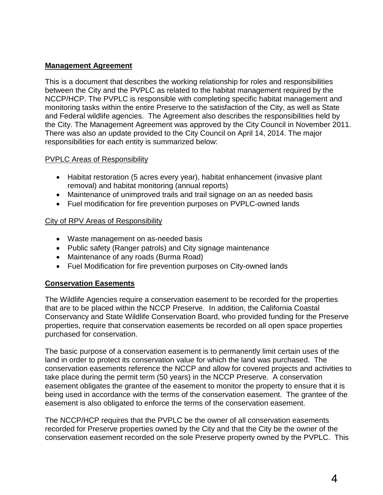## **Management Agreement**

This is a document that describes the working relationship for roles and responsibilities between the City and the PVPLC as related to the habitat management required by the NCCP/HCP. The PVPLC is responsible with completing specific habitat management and monitoring tasks within the entire Preserve to the satisfaction of the City, as well as State and Federal wildlife agencies. The Agreement also describes the responsibilities held by the City. The Management Agreement was approved by the City Council in November 2011. There was also an update provided to the City Council on April 14, 2014. The major responsibilities for each entity is summarized below:

## PVPLC Areas of Responsibility

- Habitat restoration (5 acres every year), habitat enhancement (invasive plant removal) and habitat monitoring (annual reports)
- Maintenance of unimproved trails and trail signage on an as needed basis
- Fuel modification for fire prevention purposes on PVPLC-owned lands

## City of RPV Areas of Responsibility

- Waste management on as-needed basis
- Public safety (Ranger patrols) and City signage maintenance
- Maintenance of any roads (Burma Road)
- Fuel Modification for fire prevention purposes on City-owned lands

# **Conservation Easements**

The Wildlife Agencies require a conservation easement to be recorded for the properties that are to be placed within the NCCP Preserve. In addition, the California Coastal Conservancy and State Wildlife Conservation Board, who provided funding for the Preserve properties, require that conservation easements be recorded on all open space properties purchased for conservation.

The basic purpose of a conservation easement is to permanently limit certain uses of the land in order to protect its conservation value for which the land was purchased. The conservation easements reference the NCCP and allow for covered projects and activities to take place during the permit term (50 years) in the NCCP Preserve. A conservation easement obligates the grantee of the easement to monitor the property to ensure that it is being used in accordance with the terms of the conservation easement. The grantee of the easement is also obligated to enforce the terms of the conservation easement.

The NCCP/HCP requires that the PVPLC be the owner of all conservation easements recorded for Preserve properties owned by the City and that the City be the owner of the conservation easement recorded on the sole Preserve property owned by the PVPLC. This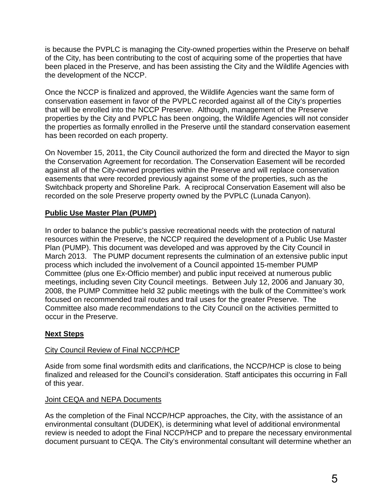is because the PVPLC is managing the City-owned properties within the Preserve on behalf of the City, has been contributing to the cost of acquiring some of the properties that have been placed in the Preserve, and has been assisting the City and the Wildlife Agencies with the development of the NCCP.

Once the NCCP is finalized and approved, the Wildlife Agencies want the same form of conservation easement in favor of the PVPLC recorded against all of the City's properties that will be enrolled into the NCCP Preserve. Although, management of the Preserve properties by the City and PVPLC has been ongoing, the Wildlife Agencies will not consider the properties as formally enrolled in the Preserve until the standard conservation easement has been recorded on each property.

On November 15, 2011, the City Council authorized the form and directed the Mayor to sign the Conservation Agreement for recordation. The Conservation Easement will be recorded against all of the City-owned properties within the Preserve and will replace conservation easements that were recorded previously against some of the properties, such as the Switchback property and Shoreline Park. A reciprocal Conservation Easement will also be recorded on the sole Preserve property owned by the PVPLC (Lunada Canyon).

# **Public Use Master Plan (PUMP)**

In order to balance the public's passive recreational needs with the protection of natural resources within the Preserve, the NCCP required the development of a Public Use Master Plan (PUMP). This document was developed and was approved by the City Council in March 2013. The PUMP document represents the culmination of an extensive public input process which included the involvement of a Council appointed 15-member PUMP Committee (plus one Ex-Officio member) and public input received at numerous public meetings, including seven City Council meetings. Between July 12, 2006 and January 30, 2008, the PUMP Committee held 32 public meetings with the bulk of the Committee's work focused on recommended trail routes and trail uses for the greater Preserve. The Committee also made recommendations to the City Council on the activities permitted to occur in the Preserve.

# **Next Steps**

# City Council Review of Final NCCP/HCP

Aside from some final wordsmith edits and clarifications, the NCCP/HCP is close to being finalized and released for the Council's consideration. Staff anticipates this occurring in Fall of this year.

## Joint CEQA and NEPA Documents

As the completion of the Final NCCP/HCP approaches, the City, with the assistance of an environmental consultant (DUDEK), is determining what level of additional environmental review is needed to adopt the Final NCCP/HCP and to prepare the necessary environmental document pursuant to CEQA. The City's environmental consultant will determine whether an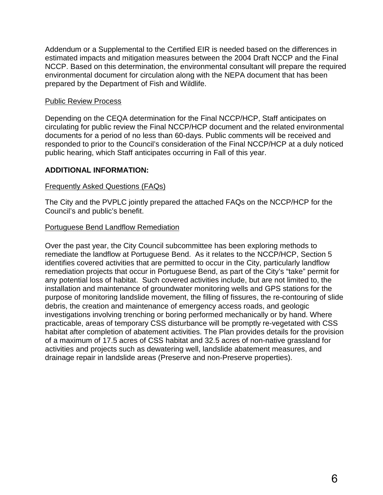Addendum or a Supplemental to the Certified EIR is needed based on the differences in estimated impacts and mitigation measures between the 2004 Draft NCCP and the Final NCCP. Based on this determination, the environmental consultant will prepare the required environmental document for circulation along with the NEPA document that has been prepared by the Department of Fish and Wildlife.

## Public Review Process

Depending on the CEQA determination for the Final NCCP/HCP, Staff anticipates on circulating for public review the Final NCCP/HCP document and the related environmental documents for a period of no less than 60-days. Public comments will be received and responded to prior to the Council's consideration of the Final NCCP/HCP at a duly noticed public hearing, which Staff anticipates occurring in Fall of this year.

## **ADDITIONAL INFORMATION:**

## Frequently Asked Questions (FAQs)

The City and the PVPLC jointly prepared the attached FAQs on the NCCP/HCP for the Council's and public's benefit.

## Portuguese Bend Landflow Remediation

Over the past year, the City Council subcommittee has been exploring methods to remediate the landflow at Portuguese Bend. As it relates to the NCCP/HCP, Section 5 identifies covered activities that are permitted to occur in the City, particularly landflow remediation projects that occur in Portuguese Bend, as part of the City's "take" permit for any potential loss of habitat. Such covered activities include, but are not limited to, the installation and maintenance of groundwater monitoring wells and GPS stations for the purpose of monitoring landslide movement, the filling of fissures, the re-contouring of slide debris, the creation and maintenance of emergency access roads, and geologic investigations involving trenching or boring performed mechanically or by hand. Where practicable, areas of temporary CSS disturbance will be promptly re-vegetated with CSS habitat after completion of abatement activities. The Plan provides details for the provision of a maximum of 17.5 acres of CSS habitat and 32.5 acres of non-native grassland for activities and projects such as dewatering well, landslide abatement measures, and drainage repair in landslide areas (Preserve and non-Preserve properties).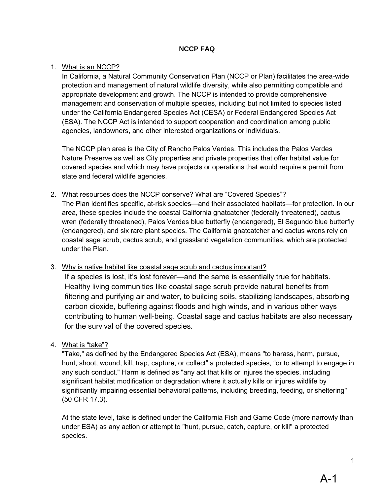## **NCCP FAQ**

#### 1. What is an NCCP?

In California, a Natural Community Conservation Plan (NCCP or Plan) facilitates the area-wide protection and management of natural wildlife diversity, while also permitting compatible and appropriate development and growth. The NCCP is intended to provide comprehensive management and conservation of multiple species, including but not limited to species listed under the California Endangered Species Act (CESA) or Federal Endangered Species Act (ESA). The NCCP Act is intended to support cooperation and coordination among public agencies, landowners, and other interested organizations or individuals.

The NCCP plan area is the City of Rancho Palos Verdes. This includes the Palos Verdes Nature Preserve as well as City properties and private properties that offer habitat value for covered species and which may have projects or operations that would require a permit from state and federal wildlife agencies.

2. What resources does the NCCP conserve? What are "Covered Species"? The Plan identifies specific, at-risk species—and their associated habitats—for protection. In our area, these species include the coastal California gnatcatcher (federally threatened), cactus wren (federally threatened), Palos Verdes blue butterfly (endangered), El Segundo blue butterfly (endangered), and six rare plant species. The California gnatcatcher and cactus wrens rely on coastal sage scrub, cactus scrub, and grassland vegetation communities, which are protected under the Plan.

3. Why is native habitat like coastal sage scrub and cactus important?

If a species is lost, it's lost forever—and the same is essentially true for habitats. Healthy living communities like coastal sage scrub provide natural benefits from filtering and purifying air and water, to building soils, stabilizing landscapes, absorbing carbon dioxide, buffering against floods and high winds, and in various other ways contributing to human well-being. Coastal sage and cactus habitats are also necessary for the survival of the covered species.

#### 4. What is "take"?

"Take," as defined by the Endangered Species Act (ESA), means "to harass, harm, pursue, hunt, shoot, wound, kill, trap, capture, or collect" a protected species, "or to attempt to engage in any such conduct." Harm is defined as "any act that kills or injures the species, including significant habitat modification or degradation where it actually kills or injures wildlife by significantly impairing essential behavioral patterns, including breeding, feeding, or sheltering" (50 CFR 17.3).

At the state level, take is defined under the California Fish and Game Code (more narrowly than under ESA) as any action or attempt to "hunt, pursue, catch, capture, or kill" a protected species.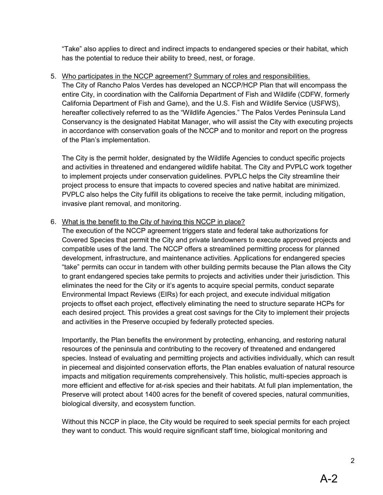"Take" also applies to direct and indirect impacts to endangered species or their habitat, which has the potential to reduce their ability to breed, nest, or forage.

## 5. Who participates in the NCCP agreement? Summary of roles and responsibilities.

The City of Rancho Palos Verdes has developed an NCCP/HCP Plan that will encompass the entire City, in coordination with the California Department of Fish and Wildlife (CDFW, formerly California Department of Fish and Game), and the U.S. Fish and Wildlife Service (USFWS), hereafter collectively referred to as the "Wildlife Agencies." The Palos Verdes Peninsula Land Conservancy is the designated Habitat Manager, who will assist the City with executing projects in accordance with conservation goals of the NCCP and to monitor and report on the progress of the Plan's implementation.

The City is the permit holder, designated by the Wildlife Agencies to conduct specific projects and activities in threatened and endangered wildlife habitat. The City and PVPLC work together to implement projects under conservation guidelines. PVPLC helps the City streamline their project process to ensure that impacts to covered species and native habitat are minimized. PVPLC also helps the City fulfill its obligations to receive the take permit, including mitigation, invasive plant removal, and monitoring.

## 6. What is the benefit to the City of having this NCCP in place?

The execution of the NCCP agreement triggers state and federal take authorizations for Covered Species that permit the City and private landowners to execute approved projects and compatible uses of the land. The NCCP offers a streamlined permitting process for planned development, infrastructure, and maintenance activities. Applications for endangered species "take" permits can occur in tandem with other building permits because the Plan allows the City to grant endangered species take permits to projects and activities under their jurisdiction. This eliminates the need for the City or it's agents to acquire special permits, conduct separate Environmental Impact Reviews (EIRs) for each project, and execute individual mitigation projects to offset each project, effectively eliminating the need to structure separate HCPs for each desired project. This provides a great cost savings for the City to implement their projects and activities in the Preserve occupied by federally protected species.

Importantly, the Plan benefits the environment by protecting, enhancing, and restoring natural resources of the peninsula and contributing to the recovery of threatened and endangered species. Instead of evaluating and permitting projects and activities individually, which can result in piecemeal and disjointed conservation efforts, the Plan enables evaluation of natural resource impacts and mitigation requirements comprehensively. This holistic, multi-species approach is more efficient and effective for at-risk species and their habitats. At full plan implementation, the Preserve will protect about 1400 acres for the benefit of covered species, natural communities, biological diversity, and ecosystem function.

Without this NCCP in place, the City would be required to seek special permits for each project they want to conduct. This would require significant staff time, biological monitoring and

2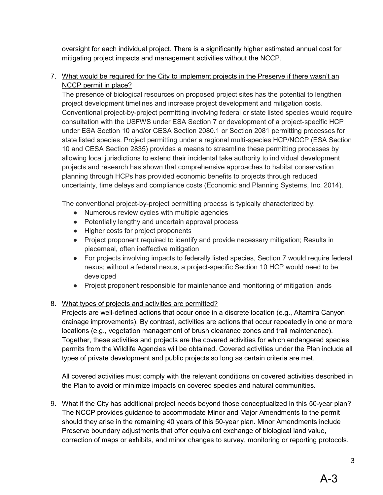oversight for each individual project. There is a significantly higher estimated annual cost for mitigating project impacts and management activities without the NCCP.

7. What would be required for the City to implement projects in the Preserve if there wasn't an NCCP permit in place?

The presence of biological resources on proposed project sites has the potential to lengthen project development timelines and increase project development and mitigation costs. Conventional project-by-project permitting involving federal or state listed species would require consultation with the USFWS under ESA Section 7 or development of a project-specific HCP under ESA Section 10 and/or CESA Section 2080.1 or Section 2081 permitting processes for state listed species. Project permitting under a regional multi-species HCP/NCCP (ESA Section 10 and CESA Section 2835) provides a means to streamline these permitting processes by allowing local jurisdictions to extend their incidental take authority to individual development projects and research has shown that comprehensive approaches to habitat conservation planning through HCPs has provided economic benefits to projects through reduced uncertainty, time delays and compliance costs (Economic and Planning Systems, Inc. 2014).

The conventional project-by-project permitting process is typically characterized by:

- Numerous review cycles with multiple agencies
- Potentially lengthy and uncertain approval process
- Higher costs for project proponents
- Project proponent required to identify and provide necessary mitigation; Results in piecemeal, often ineffective mitigation
- For projects involving impacts to federally listed species, Section 7 would require federal nexus; without a federal nexus, a project-specific Section 10 HCP would need to be developed
- Project proponent responsible for maintenance and monitoring of mitigation lands
- 8. What types of projects and activities are permitted?

Projects are well-defined actions that occur once in a discrete location (e.g., Altamira Canyon drainage improvements). By contrast, activities are actions that occur repeatedly in one or more locations (e.g., vegetation management of brush clearance zones and trail maintenance). Together, these activities and projects are the covered activities for which endangered species permits from the Wildlife Agencies will be obtained. Covered activities under the Plan include all types of private development and public projects so long as certain criteria are met.

All covered activities must comply with the relevant conditions on covered activities described in the Plan to avoid or minimize impacts on covered species and natural communities.

9. What if the City has additional project needs beyond those conceptualized in this 50-year plan? The NCCP provides guidance to accommodate Minor and Major Amendments to the permit should they arise in the remaining 40 years of this 50-year plan. Minor Amendments include Preserve boundary adjustments that offer equivalent exchange of biological land value, correction of maps or exhibits, and minor changes to survey, monitoring or reporting protocols.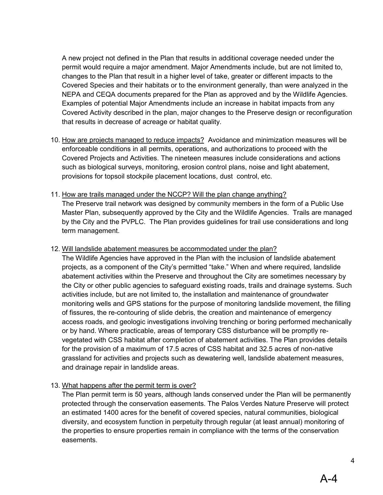A new project not defined in the Plan that results in additional coverage needed under the permit would require a major amendment. Major Amendments include, but are not limited to, changes to the Plan that result in a higher level of take, greater or different impacts to the Covered Species and their habitats or to the environment generally, than were analyzed in the NEPA and CEQA documents prepared for the Plan as approved and by the Wildlife Agencies. Examples of potential Major Amendments include an increase in habitat impacts from any Covered Activity described in the plan, major changes to the Preserve design or reconfiguration that results in decrease of acreage or habitat quality.

- 10. How are projects managed to reduce impacts? Avoidance and minimization measures will be enforceable conditions in all permits, operations, and authorizations to proceed with the Covered Projects and Activities. The nineteen measures include considerations and actions such as biological surveys, monitoring, erosion control plans, noise and light abatement, provisions for topsoil stockpile placement locations, dust control, etc.
- 11. How are trails managed under the NCCP? Will the plan change anything? The Preserve trail network was designed by community members in the form of a Public Use Master Plan, subsequently approved by the City and the Wildlife Agencies. Trails are managed by the City and the PVPLC. The Plan provides guidelines for trail use considerations and long term management.

#### 12. Will landslide abatement measures be accommodated under the plan?

The Wildlife Agencies have approved in the Plan with the inclusion of landslide abatement projects, as a component of the City's permitted "take." When and where required, landslide abatement activities within the Preserve and throughout the City are sometimes necessary by the City or other public agencies to safeguard existing roads, trails and drainage systems. Such activities include, but are not limited to, the installation and maintenance of groundwater monitoring wells and GPS stations for the purpose of monitoring landslide movement, the filling of fissures, the re-contouring of slide debris, the creation and maintenance of emergency access roads, and geologic investigations involving trenching or boring performed mechanically or by hand. Where practicable, areas of temporary CSS disturbance will be promptly revegetated with CSS habitat after completion of abatement activities. The Plan provides details for the provision of a maximum of 17.5 acres of CSS habitat and 32.5 acres of non-native grassland for activities and projects such as dewatering well, landslide abatement measures, and drainage repair in landslide areas.

#### 13. What happens after the permit term is over?

The Plan permit term is 50 years, although lands conserved under the Plan will be permanently protected through the conservation easements. The Palos Verdes Nature Preserve will protect an estimated 1400 acres for the benefit of covered species, natural communities, biological diversity, and ecosystem function in perpetuity through regular (at least annual) monitoring of the properties to ensure properties remain in compliance with the terms of the conservation easements.